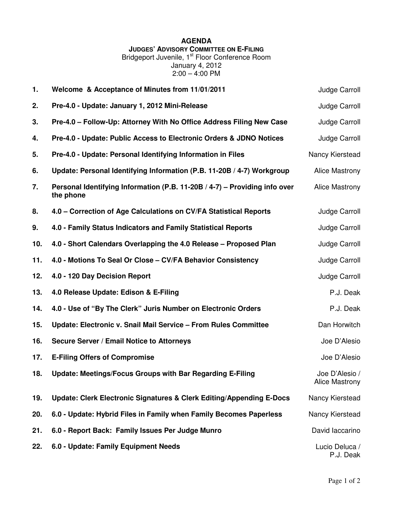## **AGENDA**

**JUDGES' ADVISORY COMMITTEE ON E-FILING**

Bridgeport Juvenile, 1<sup>st</sup> Floor Conference Room January 4, 2012 2:00 – 4:00 PM

| 1.  | Welcome & Acceptance of Minutes from 11/01/2011                                         | Judge Carroll                    |
|-----|-----------------------------------------------------------------------------------------|----------------------------------|
| 2.  | Pre-4.0 - Update: January 1, 2012 Mini-Release                                          | Judge Carroll                    |
| 3.  | Pre-4.0 - Follow-Up: Attorney With No Office Address Filing New Case                    | Judge Carroll                    |
| 4.  | Pre-4.0 - Update: Public Access to Electronic Orders & JDNO Notices                     | Judge Carroll                    |
| 5.  | Pre-4.0 - Update: Personal Identifying Information in Files                             | Nancy Kierstead                  |
| 6.  | Update: Personal Identifying Information (P.B. 11-20B / 4-7) Workgroup                  | <b>Alice Mastrony</b>            |
| 7.  | Personal Identifying Information (P.B. 11-20B / 4-7) - Providing info over<br>the phone | <b>Alice Mastrony</b>            |
| 8.  | 4.0 – Correction of Age Calculations on CV/FA Statistical Reports                       | Judge Carroll                    |
| 9.  | 4.0 - Family Status Indicators and Family Statistical Reports                           | Judge Carroll                    |
| 10. | 4.0 - Short Calendars Overlapping the 4.0 Release - Proposed Plan                       | Judge Carroll                    |
| 11. | 4.0 - Motions To Seal Or Close - CV/FA Behavior Consistency                             | Judge Carroll                    |
| 12. | 4.0 - 120 Day Decision Report                                                           | Judge Carroll                    |
| 13. | 4.0 Release Update: Edison & E-Filing                                                   | P.J. Deak                        |
| 14. | 4.0 - Use of "By The Clerk" Juris Number on Electronic Orders                           | P.J. Deak                        |
| 15. | Update: Electronic v. Snail Mail Service - From Rules Committee                         | Dan Horwitch                     |
| 16. | Secure Server / Email Notice to Attorneys                                               | Joe D'Alesio                     |
| 17. | <b>E-Filing Offers of Compromise</b>                                                    | Joe D'Alesio                     |
| 18. | Update: Meetings/Focus Groups with Bar Regarding E-Filing                               | Joe D'Alesio /<br>Alice Mastrony |
| 19. | Update: Clerk Electronic Signatures & Clerk Editing/Appending E-Docs                    | Nancy Kierstead                  |
| 20. | 6.0 - Update: Hybrid Files in Family when Family Becomes Paperless                      | Nancy Kierstead                  |
| 21. | 6.0 - Report Back: Family Issues Per Judge Munro                                        | David laccarino                  |
| 22. | 6.0 - Update: Family Equipment Needs                                                    | Lucio Deluca /<br>P.J. Deak      |